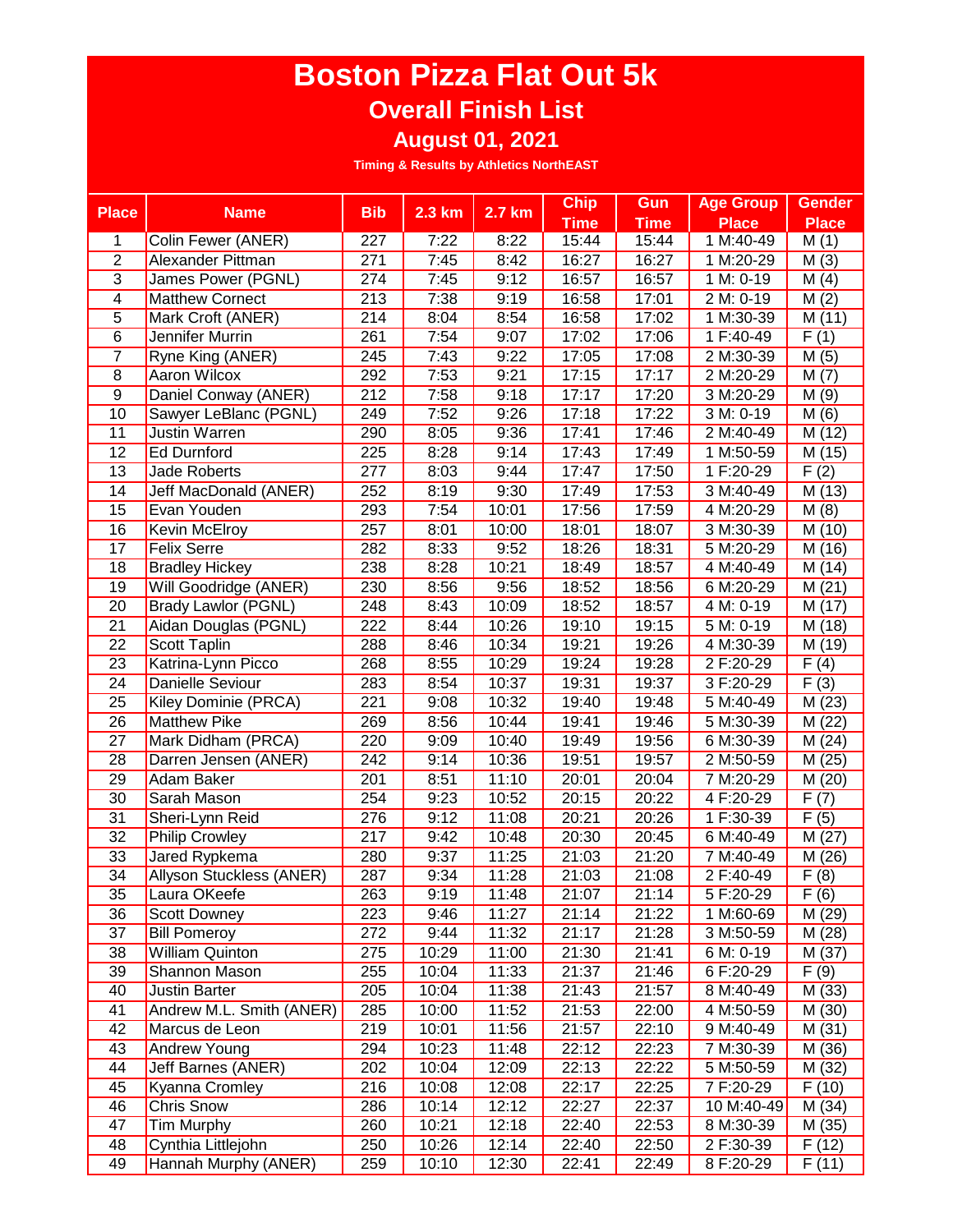## **Boston Pizza Flat Out 5k Overall Finish List**

**August 01, 2021**

**Timing & Results by Athletics NorthEAST**

| <b>Place</b>    | <b>Name</b>                | <b>Bib</b>       | $2.3 \text{ km}$ | $2.7$ km           | <b>Chip</b> | Gun         | <b>Age Group</b>      | <b>Gender</b> |
|-----------------|----------------------------|------------------|------------------|--------------------|-------------|-------------|-----------------------|---------------|
|                 |                            |                  |                  |                    | <b>Time</b> | <b>Time</b> | <b>Place</b>          | <b>Place</b>  |
| 1               | Colin Fewer (ANER)         | 227              | 7:22             | 8:22               | 15:44       | 15:44       | $1 M:40-49$           | M(1)          |
| $\overline{2}$  | Alexander Pittman          | 271              | 7:45             | 8:42               | 16:27       | 16:27       | 1 M:20-29             | M(3)          |
| $\overline{3}$  | James Power (PGNL)         | 274              | 7:45             | 9:12               | 16:57       | 16:57       | 1 M: 0-19             | M(4)          |
| 4               | <b>Matthew Cornect</b>     | 213              | 7:38             | 9:19               | 16:58       | 17:01       | 2 M: 0-19             | M(2)          |
| $\overline{5}$  | Mark Croft (ANER)          | 214              | 8:04             | 8:54               | 16:58       | 17:02       | 1 M:30-39             | M(11)         |
| $\overline{6}$  | Jennifer Murrin            | 261              | 7:54             | 9:07               | 17:02       | 17:06       | 1 F:40-49             | F(1)          |
| $\overline{7}$  | Ryne King (ANER)           | 245              | 7:43             | 9:22               | 17:05       | 17:08       | 2 M:30-39             | M(5)          |
| 8               | Aaron Wilcox               | 292              | 7:53             | 9:21               | 17:15       | 17:17       | 2 M:20-29             | M(7)          |
| $\overline{9}$  | Daniel Conway (ANER)       | 212              | 7:58             | 9:18               | 17:17       | 17:20       | 3 M:20-29             | M(9)          |
| 10              | Sawyer LeBlanc (PGNL)      | 249              | 7:52             | 9:26               | 17:18       | 17:22       | 3 M: 0-19             | M(6)          |
| 11              | Justin Warren              | 290              | 8:05             | 9:36               | 17:41       | 17:46       | 2 M:40-49             | M(12)         |
| 12              | <b>Ed Durnford</b>         | 225              | 8:28             | 9:14               | 17:43       | 17:49       | 1 M:50-59             | M (15)        |
| $\overline{13}$ | <b>Jade Roberts</b>        | 277              | 8:03             | 9:44               | 17:47       | 17:50       | 1 F:20-29             | F(2)          |
| 14              | Jeff MacDonald (ANER)      | 252              | 8:19             | 9:30               | 17:49       | 17:53       | 3 M:40-49             | M (13)        |
| 15              | Evan Youden                | 293              | 7:54             | 10:01              | 17:56       | 17:59       | 4 M:20-29             | M(8)          |
| 16              | Kevin McElroy              | 257              | 8:01             | 10:00              | 18:01       | 18:07       | 3 M:30-39             | M (10)        |
| 17              | <b>Felix Serre</b>         | 282              | 8:33             | 9:52               | 18:26       | 18:31       | 5 M:20-29             | M (16)        |
| 18              | <b>Bradley Hickey</b>      | 238              | 8:28             | 10:21              | 18:49       | 18:57       | 4 M:40-49             | M (14)        |
| $\overline{19}$ | Will Goodridge (ANER)      | 230              | 8:56             | 9:56               | 18:52       | 18:56       | 6 M:20-29             | M(21)         |
| 20              | <b>Brady Lawlor (PGNL)</b> | 248              | 8:43             | 10:09              | 18:52       | 18:57       | 4 M: 0-19             | M (17)        |
| $\overline{21}$ | Aidan Douglas (PGNL)       | 222              | 8:44             | 10:26              | 19:10       | 19:15       | $5 M: 0-19$           | M (18)        |
| $\overline{22}$ | Scott Taplin               | 288              | 8:46             | 10:34              | 19:21       | 19:26       | 4 M:30-39             | M(19)         |
| $\overline{23}$ | Katrina-Lynn Picco         | 268              | 8:55             | 10:29              | 19:24       | 19:28       | 2 F:20-29             | F(4)          |
| $\overline{24}$ | <b>Danielle Seviour</b>    | 283              | 8:54             | 10:37              | 19:31       | 19:37       | 3 F:20-29             | F(3)          |
| 25              | Kiley Dominie (PRCA)       | 221              | 9:08             | 10:32              | 19:40       | 19:48       | 5 M:40-49             | M(23)         |
| $\overline{26}$ | <b>Matthew Pike</b>        | 269              | 8:56             | 10:44              | 19:41       | 19:46       | 5 M:30-39             | M (22)        |
| 27              | Mark Didham (PRCA)         | 220              | 9:09             | 10:40              | 19:49       | 19:56       | 6 M:30-39             | M(24)         |
| 28              | Darren Jensen (ANER)       | 242              | 9:14             | 10:36              | 19:51       | 19:57       | 2 M:50-59             | M (25)        |
| 29              | Adam Baker                 | 201              | 8:51             | 11:10              | 20:01       | 20:04       | $\frac{1}{7}$ M:20-29 | M(20)         |
| 30              | Sarah Mason                | 254              | 9:23             | 10:52              | 20:15       | 20:22       | 4 F:20-29             | F(7)          |
| 31              | Sheri-Lynn Reid            | $\frac{276}{ }$  | 9:12             | $\overline{1}1:08$ | 20:21       | 20:26       | 1 F:30-39             | F(5)          |
| 32              | <b>Philip Crowley</b>      | 217              | 9:42             | 10:48              | 20:30       | 20:45       | 6 M:40-49             | M(27)         |
| 33              | Jared Rypkema              | 280              | 9:37             | 11:25              | 21:03       | 21:20       | 7 M:40-49             | M (26)        |
| 34              | Allyson Stuckless (ANER)   | $\overline{287}$ | 9:34             | 11:28              | 21:03       | 21:08       | 2 F:40-49             | F(8)          |
| 35              | Laura OKeefe               | 263              | 9:19             | 11:48              | 21:07       | 21:14       | 5 F:20-29             | F(6)          |
| 36              | <b>Scott Downey</b>        | 223              | 9:46             | 11:27              | 21:14       | 21:22       | 1 M:60-69             | M (29)        |
| 37              | <b>Bill Pomeroy</b>        | 272              | 9:44             | 11:32              | 21:17       | 21:28       | 3 M:50-59             | M(28)         |
| 38              | <b>William Quinton</b>     | 275              | 10:29            | 11:00              | 21:30       | 21:41       | 6 M: 0-19             | M (37)        |
| 39              | Shannon Mason              | 255              | 10:04            | 11:33              | 21:37       | 21:46       | 6 F:20-29             | F(9)          |
| 40              | Justin Barter              | 205              | 10:04            | 11:38              | 21:43       | 21:57       | 8 M:40-49             | M (33)        |
| 41              | Andrew M.L. Smith (ANER)   | 285              | 10:00            | 11:52              | 21:53       | 22:00       | 4 M:50-59             | M (30)        |
| 42              | Marcus de Leon             | 219              | 10:01            | 11:56              | 21:57       | 22:10       | 9 M:40-49             | M(31)         |
| 43              | Andrew Young               | 294              | 10:23            | 11:48              | 22:12       | 22:23       | 7 M:30-39             | M (36)        |
| 44              | Jeff Barnes (ANER)         | 202              | 10:04            | 12:09              | 22:13       | 22:22       | 5 M:50-59             | M (32)        |
| 45              | <b>Kyanna Cromley</b>      | 216              | 10:08            | 12:08              | 22:17       | 22:25       | 7 F:20-29             | F(10)         |
| 46              | <b>Chris Snow</b>          | 286              | 10:14            | 12:12              | 22:27       | 22:37       | 10 M:40-49            | M (34)        |
| 47              | <b>Tim Murphy</b>          | 260              | 10:21            | 12:18              | 22:40       | 22:53       | 8 M:30-39             | M (35)        |
| 48              | Cynthia Littlejohn         | 250              | 10:26            | 12:14              | 22:40       | 22:50       | 2 F:30-39             | F(12)         |
| 49              | Hannah Murphy (ANER)       | 259              | 10:10            | 12:30              | 22:41       | 22:49       | 8 F:20-29             | F(11)         |